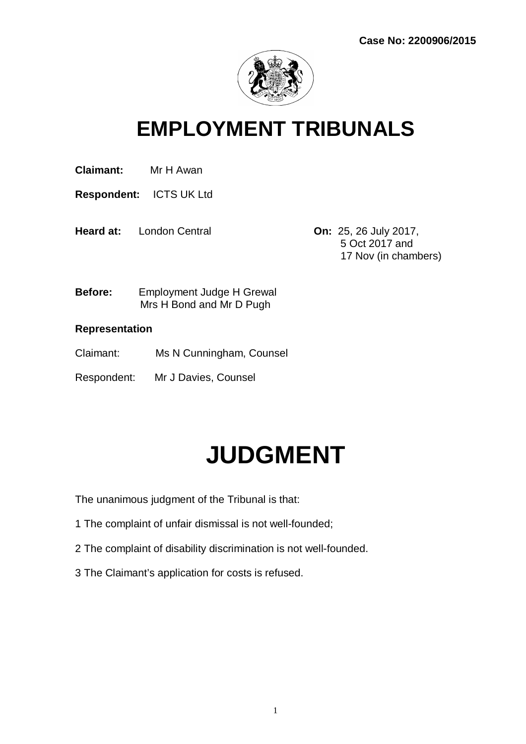

### **EMPLOYMENT TRIBUNALS**

**Claimant:** Mr H Awan

**Respondent:** ICTS UK Ltd

**Heard at:** London Central **On:** 25, 26 July 2017,

 5 Oct 2017 and 17 Nov (in chambers)

**Before:** Employment Judge H Grewal Mrs H Bond and Mr D Pugh

#### **Representation**

- Claimant: Ms N Cunningham, Counsel
- Respondent: Mr J Davies, Counsel

# **JUDGMENT**

The unanimous judgment of the Tribunal is that:

- 1 The complaint of unfair dismissal is not well-founded;
- 2 The complaint of disability discrimination is not well-founded.
- 3 The Claimant's application for costs is refused.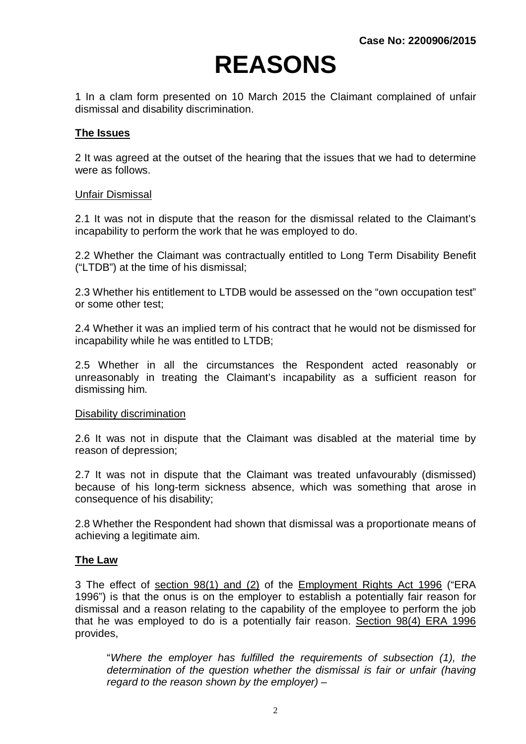## **REASONS**

1 In a clam form presented on 10 March 2015 the Claimant complained of unfair dismissal and disability discrimination.

#### **The Issues**

2 It was agreed at the outset of the hearing that the issues that we had to determine were as follows.

#### Unfair Dismissal

2.1 It was not in dispute that the reason for the dismissal related to the Claimant's incapability to perform the work that he was employed to do.

2.2 Whether the Claimant was contractually entitled to Long Term Disability Benefit ("LTDB") at the time of his dismissal;

2.3 Whether his entitlement to LTDB would be assessed on the "own occupation test" or some other test;

2.4 Whether it was an implied term of his contract that he would not be dismissed for incapability while he was entitled to LTDB;

2.5 Whether in all the circumstances the Respondent acted reasonably or unreasonably in treating the Claimant's incapability as a sufficient reason for dismissing him.

#### Disability discrimination

2.6 It was not in dispute that the Claimant was disabled at the material time by reason of depression;

2.7 It was not in dispute that the Claimant was treated unfavourably (dismissed) because of his long-term sickness absence, which was something that arose in consequence of his disability;

2.8 Whether the Respondent had shown that dismissal was a proportionate means of achieving a legitimate aim.

#### **The Law**

3 The effect of section 98(1) and (2) of the Employment Rights Act 1996 ("ERA 1996") is that the onus is on the employer to establish a potentially fair reason for dismissal and a reason relating to the capability of the employee to perform the job that he was employed to do is a potentially fair reason. Section 98(4) ERA 1996 provides,

"*Where the employer has fulfilled the requirements of subsection (1), the determination of the question whether the dismissal is fair or unfair (having regard to the reason shown by the employer) –*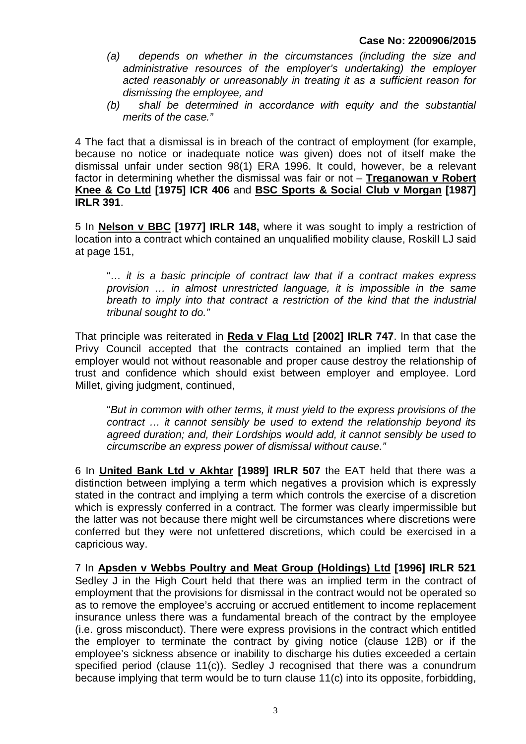- *(a) depends on whether in the circumstances (including the size and administrative resources of the employer's undertaking) the employer acted reasonably or unreasonably in treating it as a sufficient reason for dismissing the employee, and*
- *(b) shall be determined in accordance with equity and the substantial merits of the case."*

4 The fact that a dismissal is in breach of the contract of employment (for example, because no notice or inadequate notice was given) does not of itself make the dismissal unfair under section 98(1) ERA 1996. It could, however, be a relevant factor in determining whether the dismissal was fair or not – **Treganowan v Robert Knee & Co Ltd [1975] ICR 406** and **BSC Sports & Social Club v Morgan [1987] IRLR 391**.

5 In **Nelson v BBC [1977] IRLR 148,** where it was sought to imply a restriction of location into a contract which contained an unqualified mobility clause, Roskill LJ said at page 151,

"*… it is a basic principle of contract law that if a contract makes express provision … in almost unrestricted language, it is impossible in the same breath to imply into that contract a restriction of the kind that the industrial tribunal sought to do."*

That principle was reiterated in **Reda v Flag Ltd [2002] IRLR 747**. In that case the Privy Council accepted that the contracts contained an implied term that the employer would not without reasonable and proper cause destroy the relationship of trust and confidence which should exist between employer and employee. Lord Millet, giving judgment, continued,

"*But in common with other terms, it must yield to the express provisions of the contract … it cannot sensibly be used to extend the relationship beyond its agreed duration; and, their Lordships would add, it cannot sensibly be used to circumscribe an express power of dismissal without cause."*

6 In **United Bank Ltd v Akhtar [1989] IRLR 507** the EAT held that there was a distinction between implying a term which negatives a provision which is expressly stated in the contract and implying a term which controls the exercise of a discretion which is expressly conferred in a contract. The former was clearly impermissible but the latter was not because there might well be circumstances where discretions were conferred but they were not unfettered discretions, which could be exercised in a capricious way.

7 In **Apsden v Webbs Poultry and Meat Group (Holdings) Ltd [1996] IRLR 521** Sedley J in the High Court held that there was an implied term in the contract of employment that the provisions for dismissal in the contract would not be operated so as to remove the employee's accruing or accrued entitlement to income replacement insurance unless there was a fundamental breach of the contract by the employee (i.e. gross misconduct). There were express provisions in the contract which entitled the employer to terminate the contract by giving notice (clause 12B) or if the employee's sickness absence or inability to discharge his duties exceeded a certain specified period (clause 11(c)). Sedley J recognised that there was a conundrum because implying that term would be to turn clause 11(c) into its opposite, forbidding,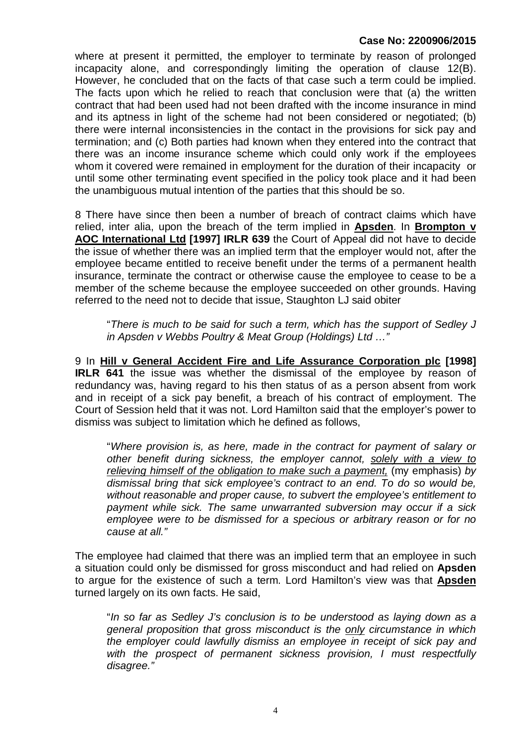where at present it permitted, the employer to terminate by reason of prolonged incapacity alone, and correspondingly limiting the operation of clause 12(B). However, he concluded that on the facts of that case such a term could be implied. The facts upon which he relied to reach that conclusion were that (a) the written contract that had been used had not been drafted with the income insurance in mind and its aptness in light of the scheme had not been considered or negotiated; (b) there were internal inconsistencies in the contact in the provisions for sick pay and termination; and (c) Both parties had known when they entered into the contract that there was an income insurance scheme which could only work if the employees whom it covered were remained in employment for the duration of their incapacity or until some other terminating event specified in the policy took place and it had been the unambiguous mutual intention of the parties that this should be so.

8 There have since then been a number of breach of contract claims which have relied, inter alia, upon the breach of the term implied in **Apsden**. In **Brompton v AOC International Ltd [1997] IRLR 639** the Court of Appeal did not have to decide the issue of whether there was an implied term that the employer would not, after the employee became entitled to receive benefit under the terms of a permanent health insurance, terminate the contract or otherwise cause the employee to cease to be a member of the scheme because the employee succeeded on other grounds. Having referred to the need not to decide that issue, Staughton LJ said obiter

"*There is much to be said for such a term, which has the support of Sedley J in Apsden v Webbs Poultry & Meat Group (Holdings) Ltd …"*

9 In **Hill v General Accident Fire and Life Assurance Corporation plc [1998] IRLR 641** the issue was whether the dismissal of the employee by reason of redundancy was, having regard to his then status of as a person absent from work and in receipt of a sick pay benefit, a breach of his contract of employment. The Court of Session held that it was not. Lord Hamilton said that the employer's power to dismiss was subject to limitation which he defined as follows,

"*Where provision is, as here, made in the contract for payment of salary or other benefit during sickness, the employer cannot, solely with a view to relieving himself of the obligation to make such a payment,* (my emphasis) *by dismissal bring that sick employee's contract to an end. To do so would be, without reasonable and proper cause, to subvert the employee's entitlement to payment while sick. The same unwarranted subversion may occur if a sick employee were to be dismissed for a specious or arbitrary reason or for no cause at all."* 

The employee had claimed that there was an implied term that an employee in such a situation could only be dismissed for gross misconduct and had relied on **Apsden**  to argue for the existence of such a term. Lord Hamilton's view was that **Apsden** turned largely on its own facts. He said,

"*In so far as Sedley J's conclusion is to be understood as laying down as a general proposition that gross misconduct is the only circumstance in which the employer could lawfully dismiss an employee in receipt of sick pay and with the prospect of permanent sickness provision, I must respectfully disagree."*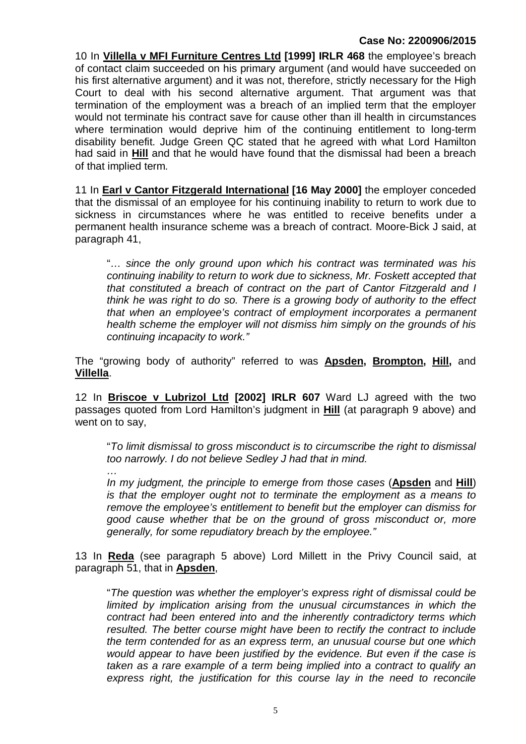10 In **Villella v MFI Furniture Centres Ltd [1999] IRLR 468** the employee's breach of contact claim succeeded on his primary argument (and would have succeeded on his first alternative argument) and it was not, therefore, strictly necessary for the High Court to deal with his second alternative argument. That argument was that termination of the employment was a breach of an implied term that the employer would not terminate his contract save for cause other than ill health in circumstances where termination would deprive him of the continuing entitlement to long-term disability benefit. Judge Green QC stated that he agreed with what Lord Hamilton had said in **Hill** and that he would have found that the dismissal had been a breach of that implied term.

11 In **Earl v Cantor Fitzgerald International [16 May 2000]** the employer conceded that the dismissal of an employee for his continuing inability to return to work due to sickness in circumstances where he was entitled to receive benefits under a permanent health insurance scheme was a breach of contract. Moore-Bick J said, at paragraph 41,

"*… since the only ground upon which his contract was terminated was his continuing inability to return to work due to sickness, Mr. Foskett accepted that that constituted a breach of contract on the part of Cantor Fitzgerald and I think he was right to do so. There is a growing body of authority to the effect that when an employee's contract of employment incorporates a permanent health scheme the employer will not dismiss him simply on the grounds of his continuing incapacity to work."*

The "growing body of authority" referred to was **Apsden, Brompton, Hill,** and **Villella**.

12 In **Briscoe v Lubrizol Ltd [2002] IRLR 607** Ward LJ agreed with the two passages quoted from Lord Hamilton's judgment in **Hill** (at paragraph 9 above) and went on to say,

*…*

"*To limit dismissal to gross misconduct is to circumscribe the right to dismissal too narrowly. I do not believe Sedley J had that in mind.*

*In my judgment, the principle to emerge from those cases* (**Apsden** and **Hill**) *is that the employer ought not to terminate the employment as a means to remove the employee's entitlement to benefit but the employer can dismiss for good cause whether that be on the ground of gross misconduct or, more generally, for some repudiatory breach by the employee."*

13 In **Reda** (see paragraph 5 above) Lord Millett in the Privy Council said, at paragraph 51, that in **Apsden**,

"*The question was whether the employer's express right of dismissal could be*  limited by implication arising from the unusual circumstances in which the *contract had been entered into and the inherently contradictory terms which resulted. The better course might have been to rectify the contract to include the term contended for as an express term, an unusual course but one which would appear to have been justified by the evidence. But even if the case is taken as a rare example of a term being implied into a contract to qualify an express right, the justification for this course lay in the need to reconcile*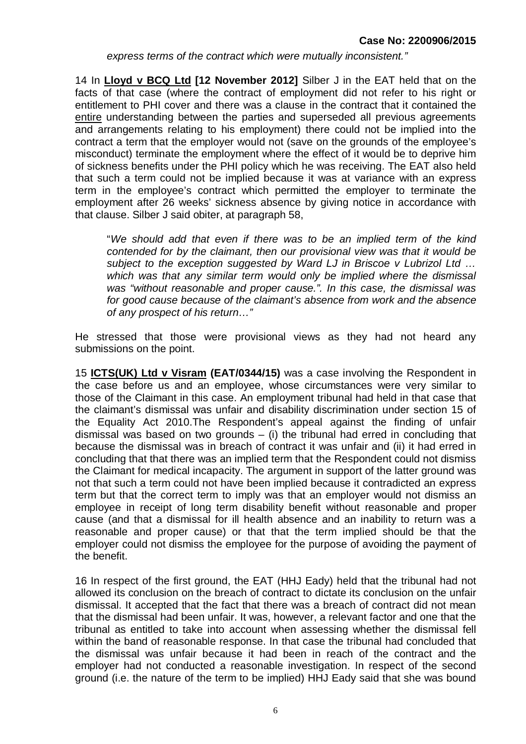*express terms of the contract which were mutually inconsistent."*

14 In **Lloyd v BCQ Ltd [12 November 2012]** Silber J in the EAT held that on the facts of that case (where the contract of employment did not refer to his right or entitlement to PHI cover and there was a clause in the contract that it contained the entire understanding between the parties and superseded all previous agreements and arrangements relating to his employment) there could not be implied into the contract a term that the employer would not (save on the grounds of the employee's misconduct) terminate the employment where the effect of it would be to deprive him of sickness benefits under the PHI policy which he was receiving. The EAT also held that such a term could not be implied because it was at variance with an express term in the employee's contract which permitted the employer to terminate the employment after 26 weeks' sickness absence by giving notice in accordance with that clause. Silber J said obiter, at paragraph 58,

"*We should add that even if there was to be an implied term of the kind contended for by the claimant, then our provisional view was that it would be subject to the exception suggested by Ward LJ in Briscoe v Lubrizol Ltd … which was that any similar term would only be implied where the dismissal was "without reasonable and proper cause.". In this case, the dismissal was for good cause because of the claimant's absence from work and the absence of any prospect of his return…"*

He stressed that those were provisional views as they had not heard any submissions on the point.

15 **ICTS(UK) Ltd v Visram (EAT/0344/15)** was a case involving the Respondent in the case before us and an employee, whose circumstances were very similar to those of the Claimant in this case. An employment tribunal had held in that case that the claimant's dismissal was unfair and disability discrimination under section 15 of the Equality Act 2010.The Respondent's appeal against the finding of unfair dismissal was based on two grounds – (i) the tribunal had erred in concluding that because the dismissal was in breach of contract it was unfair and (ii) it had erred in concluding that that there was an implied term that the Respondent could not dismiss the Claimant for medical incapacity. The argument in support of the latter ground was not that such a term could not have been implied because it contradicted an express term but that the correct term to imply was that an employer would not dismiss an employee in receipt of long term disability benefit without reasonable and proper cause (and that a dismissal for ill health absence and an inability to return was a reasonable and proper cause) or that that the term implied should be that the employer could not dismiss the employee for the purpose of avoiding the payment of the benefit.

16 In respect of the first ground, the EAT (HHJ Eady) held that the tribunal had not allowed its conclusion on the breach of contract to dictate its conclusion on the unfair dismissal. It accepted that the fact that there was a breach of contract did not mean that the dismissal had been unfair. It was, however, a relevant factor and one that the tribunal as entitled to take into account when assessing whether the dismissal fell within the band of reasonable response. In that case the tribunal had concluded that the dismissal was unfair because it had been in reach of the contract and the employer had not conducted a reasonable investigation. In respect of the second ground (i.e. the nature of the term to be implied) HHJ Eady said that she was bound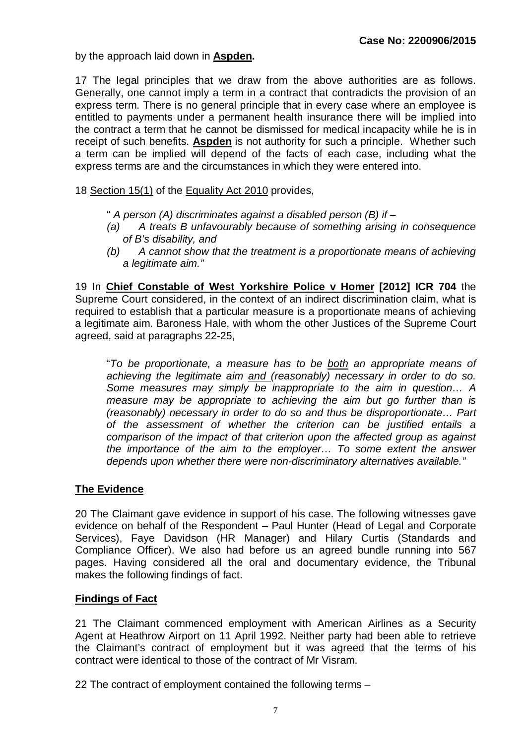by the approach laid down in **Aspden.** 

17 The legal principles that we draw from the above authorities are as follows. Generally, one cannot imply a term in a contract that contradicts the provision of an express term. There is no general principle that in every case where an employee is entitled to payments under a permanent health insurance there will be implied into the contract a term that he cannot be dismissed for medical incapacity while he is in receipt of such benefits. **Aspden** is not authority for such a principle. Whether such a term can be implied will depend of the facts of each case, including what the express terms are and the circumstances in which they were entered into.

18 Section 15(1) of the Equality Act 2010 provides,

- " *A person (A) discriminates against a disabled person (B) if –*
- *(a) A treats B unfavourably because of something arising in consequence of B's disability, and*
- *(b) A cannot show that the treatment is a proportionate means of achieving a legitimate aim."*

19 In **Chief Constable of West Yorkshire Police v Homer [2012] ICR 704** the Supreme Court considered, in the context of an indirect discrimination claim, what is required to establish that a particular measure is a proportionate means of achieving a legitimate aim. Baroness Hale, with whom the other Justices of the Supreme Court agreed, said at paragraphs 22-25,

"*To be proportionate, a measure has to be both an appropriate means of achieving the legitimate aim and (reasonably) necessary in order to do so. Some measures may simply be inappropriate to the aim in question… A measure may be appropriate to achieving the aim but go further than is (reasonably) necessary in order to do so and thus be disproportionate… Part of the assessment of whether the criterion can be justified entails a comparison of the impact of that criterion upon the affected group as against the importance of the aim to the employer… To some extent the answer depends upon whether there were non-discriminatory alternatives available."*

#### **The Evidence**

20 The Claimant gave evidence in support of his case. The following witnesses gave evidence on behalf of the Respondent – Paul Hunter (Head of Legal and Corporate Services), Faye Davidson (HR Manager) and Hilary Curtis (Standards and Compliance Officer). We also had before us an agreed bundle running into 567 pages. Having considered all the oral and documentary evidence, the Tribunal makes the following findings of fact.

#### **Findings of Fact**

21 The Claimant commenced employment with American Airlines as a Security Agent at Heathrow Airport on 11 April 1992. Neither party had been able to retrieve the Claimant's contract of employment but it was agreed that the terms of his contract were identical to those of the contract of Mr Visram.

22 The contract of employment contained the following terms –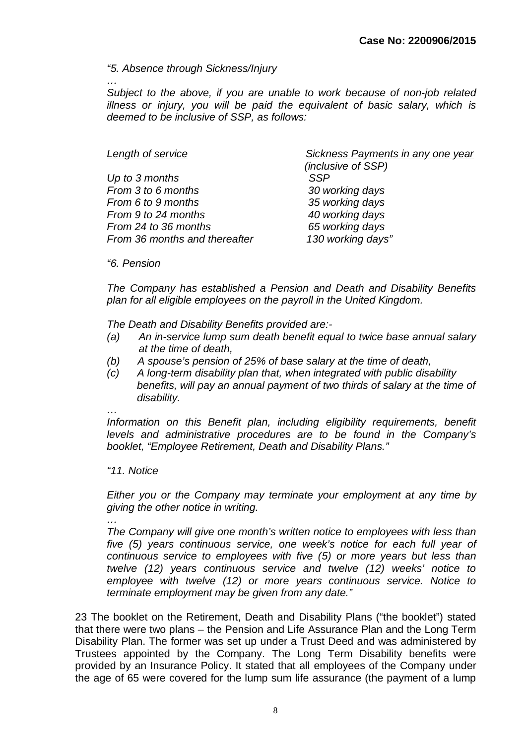#### *"5. Absence through Sickness/Injury*

*… Subject to the above, if you are unable to work because of non-job related illness or injury, you will be paid the equivalent of basic salary, which is deemed to be inclusive of SSP, as follows:*

| Sickness Payments in any one year |
|-----------------------------------|
| (inclusive of SSP)                |
| <b>SSP</b>                        |
| 30 working days                   |
| 35 working days                   |
| 40 working days                   |
| 65 working days                   |
| 130 working days"                 |
|                                   |

*"6. Pension*

*The Company has established a Pension and Death and Disability Benefits plan for all eligible employees on the payroll in the United Kingdom.* 

*The Death and Disability Benefits provided are:-*

- *(a) An in-service lump sum death benefit equal to twice base annual salary at the time of death,*
- *(b) A spouse's pension of 25% of base salary at the time of death,*
- *(c) A long-term disability plan that, when integrated with public disability benefits, will pay an annual payment of two thirds of salary at the time of disability.*
- *…*

*Information on this Benefit plan, including eligibility requirements, benefit levels and administrative procedures are to be found in the Company's booklet, "Employee Retirement, Death and Disability Plans."*

#### *"11. Notice*

*Either you or the Company may terminate your employment at any time by giving the other notice in writing.*

*…*

*The Company will give one month's written notice to employees with less than five (5) years continuous service, one week's notice for each full year of continuous service to employees with five (5) or more years but less than twelve (12) years continuous service and twelve (12) weeks' notice to employee with twelve (12) or more years continuous service. Notice to terminate employment may be given from any date."*

23 The booklet on the Retirement, Death and Disability Plans ("the booklet") stated that there were two plans – the Pension and Life Assurance Plan and the Long Term Disability Plan. The former was set up under a Trust Deed and was administered by Trustees appointed by the Company. The Long Term Disability benefits were provided by an Insurance Policy. It stated that all employees of the Company under the age of 65 were covered for the lump sum life assurance (the payment of a lump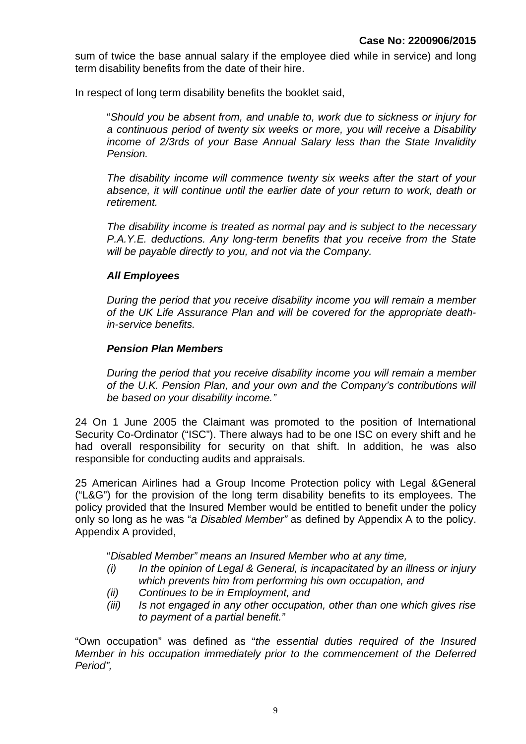sum of twice the base annual salary if the employee died while in service) and long term disability benefits from the date of their hire.

In respect of long term disability benefits the booklet said,

"*Should you be absent from, and unable to, work due to sickness or injury for a continuous period of twenty six weeks or more, you will receive a Disability income of 2/3rds of your Base Annual Salary less than the State Invalidity Pension.*

*The disability income will commence twenty six weeks after the start of your absence, it will continue until the earlier date of your return to work, death or retirement.* 

*The disability income is treated as normal pay and is subject to the necessary P.A.Y.E. deductions. Any long-term benefits that you receive from the State will be payable directly to you, and not via the Company.*

#### *All Employees*

*During the period that you receive disability income you will remain a member of the UK Life Assurance Plan and will be covered for the appropriate deathin-service benefits.*

#### *Pension Plan Members*

*During the period that you receive disability income you will remain a member of the U.K. Pension Plan, and your own and the Company's contributions will be based on your disability income."*

24 On 1 June 2005 the Claimant was promoted to the position of International Security Co-Ordinator ("ISC"). There always had to be one ISC on every shift and he had overall responsibility for security on that shift. In addition, he was also responsible for conducting audits and appraisals.

25 American Airlines had a Group Income Protection policy with Legal &General ("L&G") for the provision of the long term disability benefits to its employees. The policy provided that the Insured Member would be entitled to benefit under the policy only so long as he was "*a Disabled Member"* as defined by Appendix A to the policy. Appendix A provided,

"*Disabled Member" means an Insured Member who at any time,*

- *(i) In the opinion of Legal & General, is incapacitated by an illness or injury which prevents him from performing his own occupation, and*
- *(ii) Continues to be in Employment, and*
- *(iii) Is not engaged in any other occupation, other than one which gives rise to payment of a partial benefit."*

"Own occupation" was defined as "*the essential duties required of the Insured Member in his occupation immediately prior to the commencement of the Deferred Period",*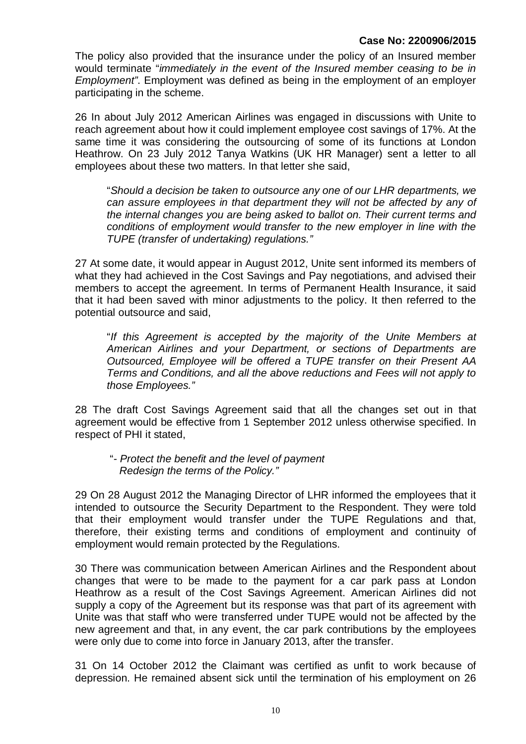The policy also provided that the insurance under the policy of an Insured member would terminate "*immediately in the event of the Insured member ceasing to be in Employment"*. Employment was defined as being in the employment of an employer participating in the scheme.

26 In about July 2012 American Airlines was engaged in discussions with Unite to reach agreement about how it could implement employee cost savings of 17%. At the same time it was considering the outsourcing of some of its functions at London Heathrow. On 23 July 2012 Tanya Watkins (UK HR Manager) sent a letter to all employees about these two matters. In that letter she said,

"*Should a decision be taken to outsource any one of our LHR departments, we can assure employees in that department they will not be affected by any of the internal changes you are being asked to ballot on. Their current terms and conditions of employment would transfer to the new employer in line with the TUPE (transfer of undertaking) regulations."*

27 At some date, it would appear in August 2012, Unite sent informed its members of what they had achieved in the Cost Savings and Pay negotiations, and advised their members to accept the agreement. In terms of Permanent Health Insurance, it said that it had been saved with minor adjustments to the policy. It then referred to the potential outsource and said,

"*If this Agreement is accepted by the majority of the Unite Members at American Airlines and your Department, or sections of Departments are Outsourced, Employee will be offered a TUPE transfer on their Present AA Terms and Conditions, and all the above reductions and Fees will not apply to those Employees."*

28 The draft Cost Savings Agreement said that all the changes set out in that agreement would be effective from 1 September 2012 unless otherwise specified. In respect of PHI it stated,

 "*- Protect the benefit and the level of payment Redesign the terms of the Policy."*

29 On 28 August 2012 the Managing Director of LHR informed the employees that it intended to outsource the Security Department to the Respondent. They were told that their employment would transfer under the TUPE Regulations and that, therefore, their existing terms and conditions of employment and continuity of employment would remain protected by the Regulations.

30 There was communication between American Airlines and the Respondent about changes that were to be made to the payment for a car park pass at London Heathrow as a result of the Cost Savings Agreement. American Airlines did not supply a copy of the Agreement but its response was that part of its agreement with Unite was that staff who were transferred under TUPE would not be affected by the new agreement and that, in any event, the car park contributions by the employees were only due to come into force in January 2013, after the transfer.

31 On 14 October 2012 the Claimant was certified as unfit to work because of depression. He remained absent sick until the termination of his employment on 26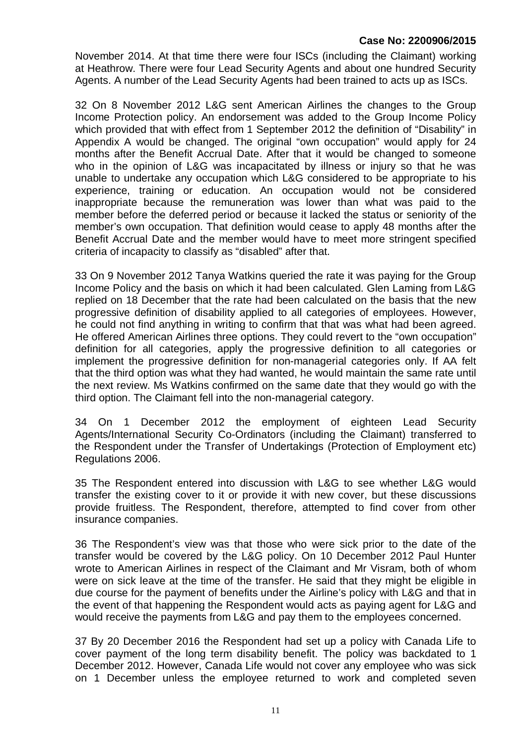November 2014. At that time there were four ISCs (including the Claimant) working at Heathrow. There were four Lead Security Agents and about one hundred Security Agents. A number of the Lead Security Agents had been trained to acts up as ISCs.

32 On 8 November 2012 L&G sent American Airlines the changes to the Group Income Protection policy. An endorsement was added to the Group Income Policy which provided that with effect from 1 September 2012 the definition of "Disability" in Appendix A would be changed. The original "own occupation" would apply for 24 months after the Benefit Accrual Date. After that it would be changed to someone who in the opinion of L&G was incapacitated by illness or injury so that he was unable to undertake any occupation which L&G considered to be appropriate to his experience, training or education. An occupation would not be considered inappropriate because the remuneration was lower than what was paid to the member before the deferred period or because it lacked the status or seniority of the member's own occupation. That definition would cease to apply 48 months after the Benefit Accrual Date and the member would have to meet more stringent specified criteria of incapacity to classify as "disabled" after that.

33 On 9 November 2012 Tanya Watkins queried the rate it was paying for the Group Income Policy and the basis on which it had been calculated. Glen Laming from L&G replied on 18 December that the rate had been calculated on the basis that the new progressive definition of disability applied to all categories of employees. However, he could not find anything in writing to confirm that that was what had been agreed. He offered American Airlines three options. They could revert to the "own occupation" definition for all categories, apply the progressive definition to all categories or implement the progressive definition for non-managerial categories only. If AA felt that the third option was what they had wanted, he would maintain the same rate until the next review. Ms Watkins confirmed on the same date that they would go with the third option. The Claimant fell into the non-managerial category.

34 On 1 December 2012 the employment of eighteen Lead Security Agents/International Security Co-Ordinators (including the Claimant) transferred to the Respondent under the Transfer of Undertakings (Protection of Employment etc) Regulations 2006.

35 The Respondent entered into discussion with L&G to see whether L&G would transfer the existing cover to it or provide it with new cover, but these discussions provide fruitless. The Respondent, therefore, attempted to find cover from other insurance companies.

36 The Respondent's view was that those who were sick prior to the date of the transfer would be covered by the L&G policy. On 10 December 2012 Paul Hunter wrote to American Airlines in respect of the Claimant and Mr Visram, both of whom were on sick leave at the time of the transfer. He said that they might be eligible in due course for the payment of benefits under the Airline's policy with L&G and that in the event of that happening the Respondent would acts as paying agent for L&G and would receive the payments from L&G and pay them to the employees concerned.

37 By 20 December 2016 the Respondent had set up a policy with Canada Life to cover payment of the long term disability benefit. The policy was backdated to 1 December 2012. However, Canada Life would not cover any employee who was sick on 1 December unless the employee returned to work and completed seven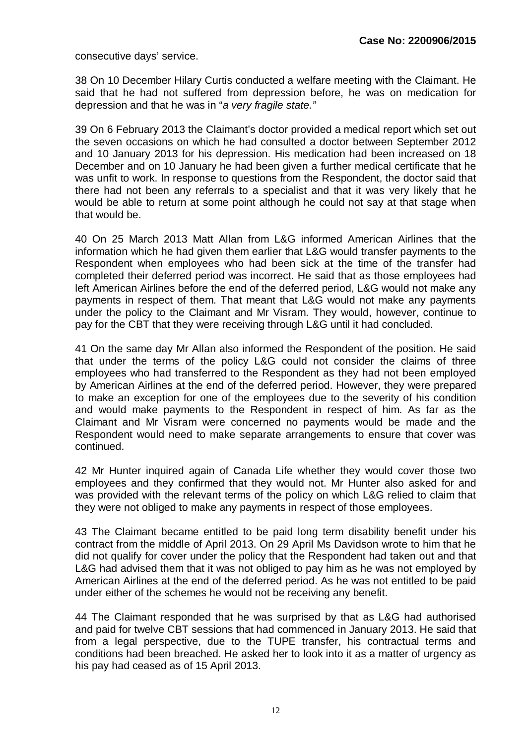consecutive days' service.

38 On 10 December Hilary Curtis conducted a welfare meeting with the Claimant. He said that he had not suffered from depression before, he was on medication for depression and that he was in "*a very fragile state."*

39 On 6 February 2013 the Claimant's doctor provided a medical report which set out the seven occasions on which he had consulted a doctor between September 2012 and 10 January 2013 for his depression. His medication had been increased on 18 December and on 10 January he had been given a further medical certificate that he was unfit to work. In response to questions from the Respondent, the doctor said that there had not been any referrals to a specialist and that it was very likely that he would be able to return at some point although he could not say at that stage when that would be.

40 On 25 March 2013 Matt Allan from L&G informed American Airlines that the information which he had given them earlier that L&G would transfer payments to the Respondent when employees who had been sick at the time of the transfer had completed their deferred period was incorrect. He said that as those employees had left American Airlines before the end of the deferred period, L&G would not make any payments in respect of them. That meant that L&G would not make any payments under the policy to the Claimant and Mr Visram. They would, however, continue to pay for the CBT that they were receiving through L&G until it had concluded.

41 On the same day Mr Allan also informed the Respondent of the position. He said that under the terms of the policy L&G could not consider the claims of three employees who had transferred to the Respondent as they had not been employed by American Airlines at the end of the deferred period. However, they were prepared to make an exception for one of the employees due to the severity of his condition and would make payments to the Respondent in respect of him. As far as the Claimant and Mr Visram were concerned no payments would be made and the Respondent would need to make separate arrangements to ensure that cover was continued.

42 Mr Hunter inquired again of Canada Life whether they would cover those two employees and they confirmed that they would not. Mr Hunter also asked for and was provided with the relevant terms of the policy on which L&G relied to claim that they were not obliged to make any payments in respect of those employees.

43 The Claimant became entitled to be paid long term disability benefit under his contract from the middle of April 2013. On 29 April Ms Davidson wrote to him that he did not qualify for cover under the policy that the Respondent had taken out and that L&G had advised them that it was not obliged to pay him as he was not employed by American Airlines at the end of the deferred period. As he was not entitled to be paid under either of the schemes he would not be receiving any benefit.

44 The Claimant responded that he was surprised by that as L&G had authorised and paid for twelve CBT sessions that had commenced in January 2013. He said that from a legal perspective, due to the TUPE transfer, his contractual terms and conditions had been breached. He asked her to look into it as a matter of urgency as his pay had ceased as of 15 April 2013.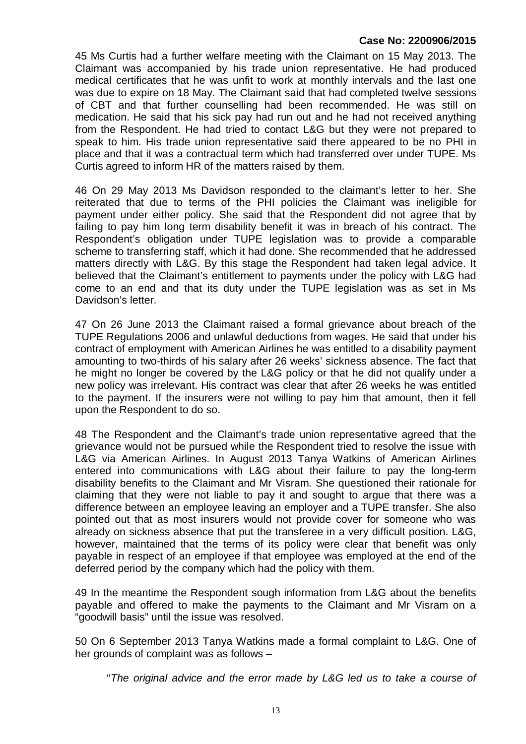45 Ms Curtis had a further welfare meeting with the Claimant on 15 May 2013. The Claimant was accompanied by his trade union representative. He had produced medical certificates that he was unfit to work at monthly intervals and the last one was due to expire on 18 May. The Claimant said that had completed twelve sessions of CBT and that further counselling had been recommended. He was still on medication. He said that his sick pay had run out and he had not received anything from the Respondent. He had tried to contact L&G but they were not prepared to speak to him. His trade union representative said there appeared to be no PHI in place and that it was a contractual term which had transferred over under TUPE. Ms Curtis agreed to inform HR of the matters raised by them.

46 On 29 May 2013 Ms Davidson responded to the claimant's letter to her. She reiterated that due to terms of the PHI policies the Claimant was ineligible for payment under either policy. She said that the Respondent did not agree that by failing to pay him long term disability benefit it was in breach of his contract. The Respondent's obligation under TUPE legislation was to provide a comparable scheme to transferring staff, which it had done. She recommended that he addressed matters directly with L&G. By this stage the Respondent had taken legal advice. It believed that the Claimant's entitlement to payments under the policy with L&G had come to an end and that its duty under the TUPE legislation was as set in Ms Davidson's letter.

47 On 26 June 2013 the Claimant raised a formal grievance about breach of the TUPE Regulations 2006 and unlawful deductions from wages. He said that under his contract of employment with American Airlines he was entitled to a disability payment amounting to two-thirds of his salary after 26 weeks' sickness absence. The fact that he might no longer be covered by the L&G policy or that he did not qualify under a new policy was irrelevant. His contract was clear that after 26 weeks he was entitled to the payment. If the insurers were not willing to pay him that amount, then it fell upon the Respondent to do so.

48 The Respondent and the Claimant's trade union representative agreed that the grievance would not be pursued while the Respondent tried to resolve the issue with L&G via American Airlines. In August 2013 Tanya Watkins of American Airlines entered into communications with L&G about their failure to pay the long-term disability benefits to the Claimant and Mr Visram. She questioned their rationale for claiming that they were not liable to pay it and sought to argue that there was a difference between an employee leaving an employer and a TUPE transfer. She also pointed out that as most insurers would not provide cover for someone who was already on sickness absence that put the transferee in a very difficult position. L&G, however, maintained that the terms of its policy were clear that benefit was only payable in respect of an employee if that employee was employed at the end of the deferred period by the company which had the policy with them.

49 In the meantime the Respondent sough information from L&G about the benefits payable and offered to make the payments to the Claimant and Mr Visram on a "goodwill basis" until the issue was resolved.

50 On 6 September 2013 Tanya Watkins made a formal complaint to L&G. One of her grounds of complaint was as follows –

"*The original advice and the error made by L&G led us to take a course of*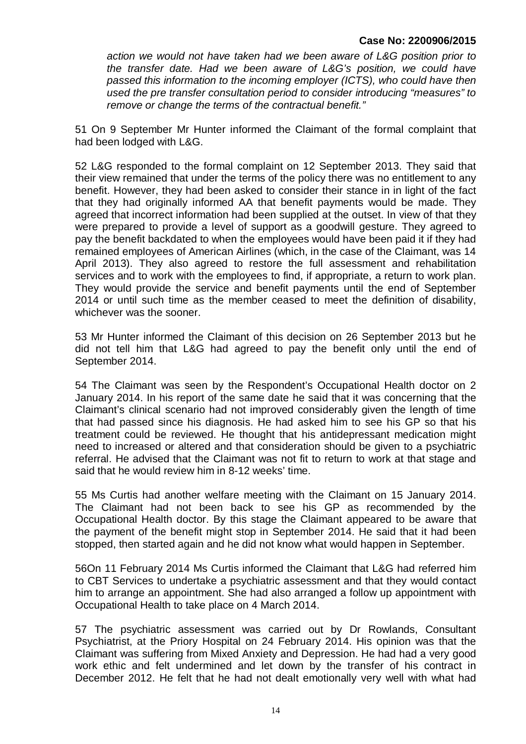*action we would not have taken had we been aware of L&G position prior to the transfer date. Had we been aware of L&G's position, we could have passed this information to the incoming employer (ICTS), who could have then used the pre transfer consultation period to consider introducing "measures" to remove or change the terms of the contractual benefit."*

51 On 9 September Mr Hunter informed the Claimant of the formal complaint that had been lodged with L&G.

52 L&G responded to the formal complaint on 12 September 2013. They said that their view remained that under the terms of the policy there was no entitlement to any benefit. However, they had been asked to consider their stance in in light of the fact that they had originally informed AA that benefit payments would be made. They agreed that incorrect information had been supplied at the outset. In view of that they were prepared to provide a level of support as a goodwill gesture. They agreed to pay the benefit backdated to when the employees would have been paid it if they had remained employees of American Airlines (which, in the case of the Claimant, was 14 April 2013). They also agreed to restore the full assessment and rehabilitation services and to work with the employees to find, if appropriate, a return to work plan. They would provide the service and benefit payments until the end of September 2014 or until such time as the member ceased to meet the definition of disability, whichever was the sooner.

53 Mr Hunter informed the Claimant of this decision on 26 September 2013 but he did not tell him that L&G had agreed to pay the benefit only until the end of September 2014.

54 The Claimant was seen by the Respondent's Occupational Health doctor on 2 January 2014. In his report of the same date he said that it was concerning that the Claimant's clinical scenario had not improved considerably given the length of time that had passed since his diagnosis. He had asked him to see his GP so that his treatment could be reviewed. He thought that his antidepressant medication might need to increased or altered and that consideration should be given to a psychiatric referral. He advised that the Claimant was not fit to return to work at that stage and said that he would review him in 8-12 weeks' time.

55 Ms Curtis had another welfare meeting with the Claimant on 15 January 2014. The Claimant had not been back to see his GP as recommended by the Occupational Health doctor. By this stage the Claimant appeared to be aware that the payment of the benefit might stop in September 2014. He said that it had been stopped, then started again and he did not know what would happen in September.

56On 11 February 2014 Ms Curtis informed the Claimant that L&G had referred him to CBT Services to undertake a psychiatric assessment and that they would contact him to arrange an appointment. She had also arranged a follow up appointment with Occupational Health to take place on 4 March 2014.

57 The psychiatric assessment was carried out by Dr Rowlands, Consultant Psychiatrist, at the Priory Hospital on 24 February 2014. His opinion was that the Claimant was suffering from Mixed Anxiety and Depression. He had had a very good work ethic and felt undermined and let down by the transfer of his contract in December 2012. He felt that he had not dealt emotionally very well with what had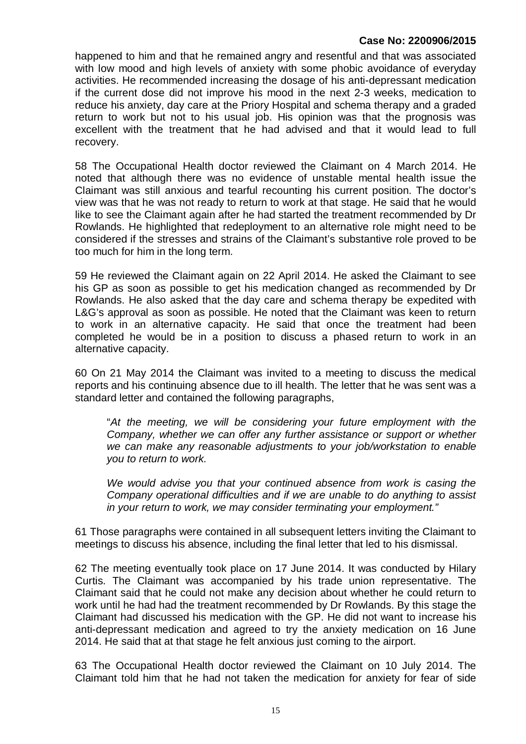happened to him and that he remained angry and resentful and that was associated with low mood and high levels of anxiety with some phobic avoidance of everyday activities. He recommended increasing the dosage of his anti-depressant medication if the current dose did not improve his mood in the next 2-3 weeks, medication to reduce his anxiety, day care at the Priory Hospital and schema therapy and a graded return to work but not to his usual job. His opinion was that the prognosis was excellent with the treatment that he had advised and that it would lead to full recovery.

58 The Occupational Health doctor reviewed the Claimant on 4 March 2014. He noted that although there was no evidence of unstable mental health issue the Claimant was still anxious and tearful recounting his current position. The doctor's view was that he was not ready to return to work at that stage. He said that he would like to see the Claimant again after he had started the treatment recommended by Dr Rowlands. He highlighted that redeployment to an alternative role might need to be considered if the stresses and strains of the Claimant's substantive role proved to be too much for him in the long term.

59 He reviewed the Claimant again on 22 April 2014. He asked the Claimant to see his GP as soon as possible to get his medication changed as recommended by Dr Rowlands. He also asked that the day care and schema therapy be expedited with L&G's approval as soon as possible. He noted that the Claimant was keen to return to work in an alternative capacity. He said that once the treatment had been completed he would be in a position to discuss a phased return to work in an alternative capacity.

60 On 21 May 2014 the Claimant was invited to a meeting to discuss the medical reports and his continuing absence due to ill health. The letter that he was sent was a standard letter and contained the following paragraphs,

"*At the meeting, we will be considering your future employment with the Company, whether we can offer any further assistance or support or whether we can make any reasonable adjustments to your job/workstation to enable you to return to work.*

*We would advise you that your continued absence from work is casing the Company operational difficulties and if we are unable to do anything to assist in your return to work, we may consider terminating your employment."*

61 Those paragraphs were contained in all subsequent letters inviting the Claimant to meetings to discuss his absence, including the final letter that led to his dismissal.

62 The meeting eventually took place on 17 June 2014. It was conducted by Hilary Curtis. The Claimant was accompanied by his trade union representative. The Claimant said that he could not make any decision about whether he could return to work until he had had the treatment recommended by Dr Rowlands. By this stage the Claimant had discussed his medication with the GP. He did not want to increase his anti-depressant medication and agreed to try the anxiety medication on 16 June 2014. He said that at that stage he felt anxious just coming to the airport.

63 The Occupational Health doctor reviewed the Claimant on 10 July 2014. The Claimant told him that he had not taken the medication for anxiety for fear of side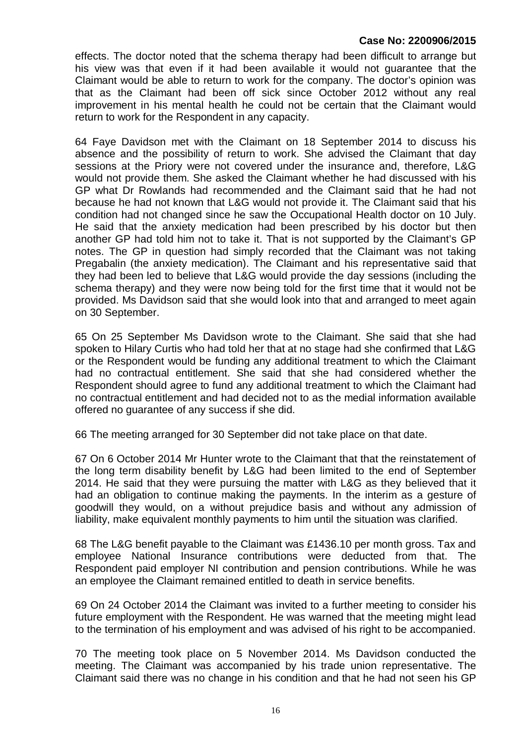effects. The doctor noted that the schema therapy had been difficult to arrange but his view was that even if it had been available it would not guarantee that the Claimant would be able to return to work for the company. The doctor's opinion was that as the Claimant had been off sick since October 2012 without any real improvement in his mental health he could not be certain that the Claimant would return to work for the Respondent in any capacity.

64 Faye Davidson met with the Claimant on 18 September 2014 to discuss his absence and the possibility of return to work. She advised the Claimant that day sessions at the Priory were not covered under the insurance and, therefore, L&G would not provide them. She asked the Claimant whether he had discussed with his GP what Dr Rowlands had recommended and the Claimant said that he had not because he had not known that L&G would not provide it. The Claimant said that his condition had not changed since he saw the Occupational Health doctor on 10 July. He said that the anxiety medication had been prescribed by his doctor but then another GP had told him not to take it. That is not supported by the Claimant's GP notes. The GP in question had simply recorded that the Claimant was not taking Pregabalin (the anxiety medication). The Claimant and his representative said that they had been led to believe that L&G would provide the day sessions (including the schema therapy) and they were now being told for the first time that it would not be provided. Ms Davidson said that she would look into that and arranged to meet again on 30 September.

65 On 25 September Ms Davidson wrote to the Claimant. She said that she had spoken to Hilary Curtis who had told her that at no stage had she confirmed that L&G or the Respondent would be funding any additional treatment to which the Claimant had no contractual entitlement. She said that she had considered whether the Respondent should agree to fund any additional treatment to which the Claimant had no contractual entitlement and had decided not to as the medial information available offered no guarantee of any success if she did.

66 The meeting arranged for 30 September did not take place on that date.

67 On 6 October 2014 Mr Hunter wrote to the Claimant that that the reinstatement of the long term disability benefit by L&G had been limited to the end of September 2014. He said that they were pursuing the matter with L&G as they believed that it had an obligation to continue making the payments. In the interim as a gesture of goodwill they would, on a without prejudice basis and without any admission of liability, make equivalent monthly payments to him until the situation was clarified.

68 The L&G benefit payable to the Claimant was £1436.10 per month gross. Tax and employee National Insurance contributions were deducted from that. The Respondent paid employer NI contribution and pension contributions. While he was an employee the Claimant remained entitled to death in service benefits.

69 On 24 October 2014 the Claimant was invited to a further meeting to consider his future employment with the Respondent. He was warned that the meeting might lead to the termination of his employment and was advised of his right to be accompanied.

70 The meeting took place on 5 November 2014. Ms Davidson conducted the meeting. The Claimant was accompanied by his trade union representative. The Claimant said there was no change in his condition and that he had not seen his GP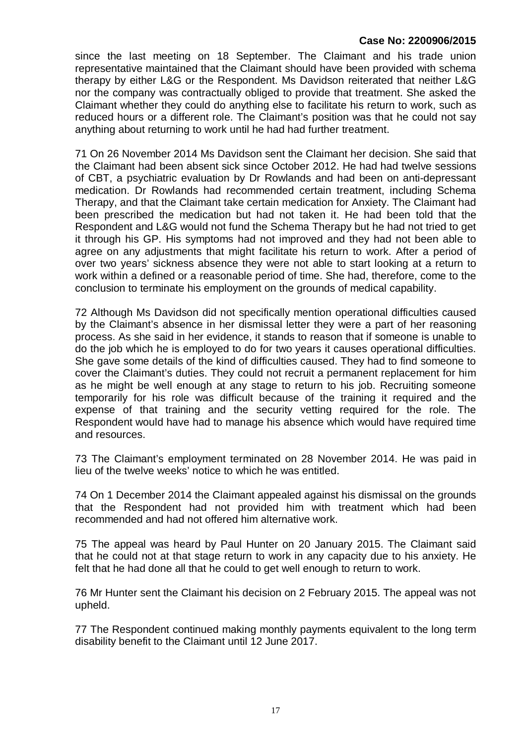since the last meeting on 18 September. The Claimant and his trade union representative maintained that the Claimant should have been provided with schema therapy by either L&G or the Respondent. Ms Davidson reiterated that neither L&G nor the company was contractually obliged to provide that treatment. She asked the Claimant whether they could do anything else to facilitate his return to work, such as reduced hours or a different role. The Claimant's position was that he could not say anything about returning to work until he had had further treatment.

71 On 26 November 2014 Ms Davidson sent the Claimant her decision. She said that the Claimant had been absent sick since October 2012. He had had twelve sessions of CBT, a psychiatric evaluation by Dr Rowlands and had been on anti-depressant medication. Dr Rowlands had recommended certain treatment, including Schema Therapy, and that the Claimant take certain medication for Anxiety. The Claimant had been prescribed the medication but had not taken it. He had been told that the Respondent and L&G would not fund the Schema Therapy but he had not tried to get it through his GP. His symptoms had not improved and they had not been able to agree on any adjustments that might facilitate his return to work. After a period of over two years' sickness absence they were not able to start looking at a return to work within a defined or a reasonable period of time. She had, therefore, come to the conclusion to terminate his employment on the grounds of medical capability.

72 Although Ms Davidson did not specifically mention operational difficulties caused by the Claimant's absence in her dismissal letter they were a part of her reasoning process. As she said in her evidence, it stands to reason that if someone is unable to do the job which he is employed to do for two years it causes operational difficulties. She gave some details of the kind of difficulties caused. They had to find someone to cover the Claimant's duties. They could not recruit a permanent replacement for him as he might be well enough at any stage to return to his job. Recruiting someone temporarily for his role was difficult because of the training it required and the expense of that training and the security vetting required for the role. The Respondent would have had to manage his absence which would have required time and resources.

73 The Claimant's employment terminated on 28 November 2014. He was paid in lieu of the twelve weeks' notice to which he was entitled.

74 On 1 December 2014 the Claimant appealed against his dismissal on the grounds that the Respondent had not provided him with treatment which had been recommended and had not offered him alternative work.

75 The appeal was heard by Paul Hunter on 20 January 2015. The Claimant said that he could not at that stage return to work in any capacity due to his anxiety. He felt that he had done all that he could to get well enough to return to work.

76 Mr Hunter sent the Claimant his decision on 2 February 2015. The appeal was not upheld.

77 The Respondent continued making monthly payments equivalent to the long term disability benefit to the Claimant until 12 June 2017.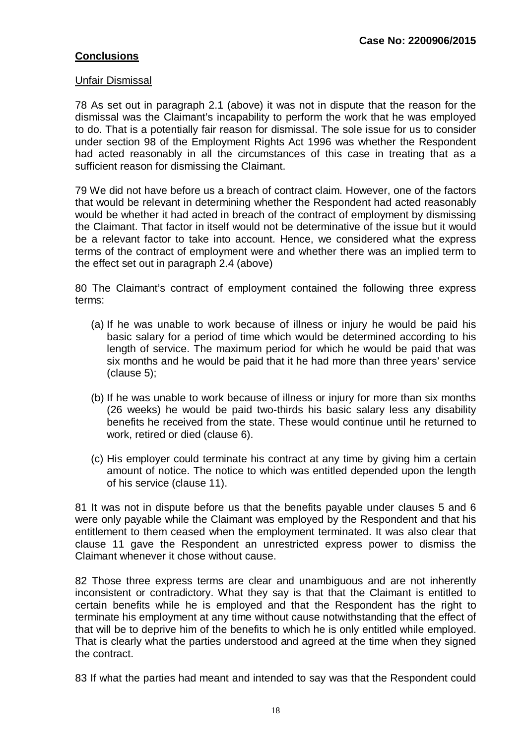#### **Conclusions**

#### Unfair Dismissal

78 As set out in paragraph 2.1 (above) it was not in dispute that the reason for the dismissal was the Claimant's incapability to perform the work that he was employed to do. That is a potentially fair reason for dismissal. The sole issue for us to consider under section 98 of the Employment Rights Act 1996 was whether the Respondent had acted reasonably in all the circumstances of this case in treating that as a sufficient reason for dismissing the Claimant.

79 We did not have before us a breach of contract claim. However, one of the factors that would be relevant in determining whether the Respondent had acted reasonably would be whether it had acted in breach of the contract of employment by dismissing the Claimant. That factor in itself would not be determinative of the issue but it would be a relevant factor to take into account. Hence, we considered what the express terms of the contract of employment were and whether there was an implied term to the effect set out in paragraph 2.4 (above)

80 The Claimant's contract of employment contained the following three express terms:

- (a) If he was unable to work because of illness or injury he would be paid his basic salary for a period of time which would be determined according to his length of service. The maximum period for which he would be paid that was six months and he would be paid that it he had more than three years' service (clause 5);
- (b) If he was unable to work because of illness or injury for more than six months (26 weeks) he would be paid two-thirds his basic salary less any disability benefits he received from the state. These would continue until he returned to work, retired or died (clause 6).
- (c) His employer could terminate his contract at any time by giving him a certain amount of notice. The notice to which was entitled depended upon the length of his service (clause 11).

81 It was not in dispute before us that the benefits payable under clauses 5 and 6 were only payable while the Claimant was employed by the Respondent and that his entitlement to them ceased when the employment terminated. It was also clear that clause 11 gave the Respondent an unrestricted express power to dismiss the Claimant whenever it chose without cause.

82 Those three express terms are clear and unambiguous and are not inherently inconsistent or contradictory. What they say is that that the Claimant is entitled to certain benefits while he is employed and that the Respondent has the right to terminate his employment at any time without cause notwithstanding that the effect of that will be to deprive him of the benefits to which he is only entitled while employed. That is clearly what the parties understood and agreed at the time when they signed the contract.

83 If what the parties had meant and intended to say was that the Respondent could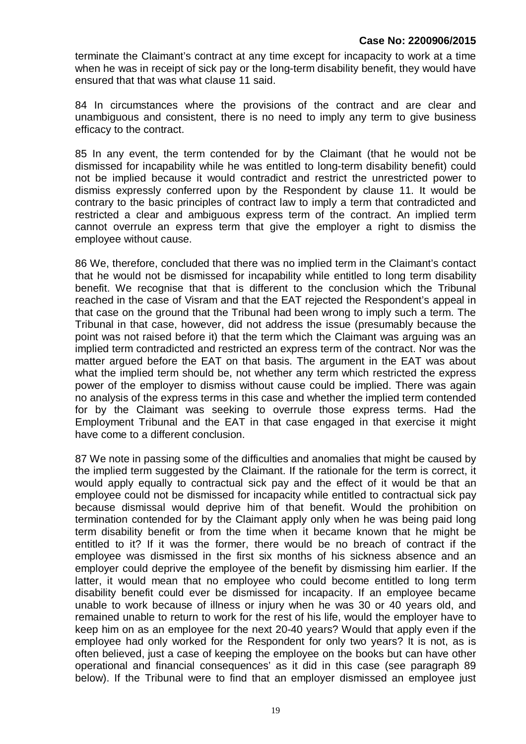terminate the Claimant's contract at any time except for incapacity to work at a time when he was in receipt of sick pay or the long-term disability benefit, they would have ensured that that was what clause 11 said.

84 In circumstances where the provisions of the contract and are clear and unambiguous and consistent, there is no need to imply any term to give business efficacy to the contract.

85 In any event, the term contended for by the Claimant (that he would not be dismissed for incapability while he was entitled to long-term disability benefit) could not be implied because it would contradict and restrict the unrestricted power to dismiss expressly conferred upon by the Respondent by clause 11. It would be contrary to the basic principles of contract law to imply a term that contradicted and restricted a clear and ambiguous express term of the contract. An implied term cannot overrule an express term that give the employer a right to dismiss the employee without cause.

86 We, therefore, concluded that there was no implied term in the Claimant's contact that he would not be dismissed for incapability while entitled to long term disability benefit. We recognise that that is different to the conclusion which the Tribunal reached in the case of Visram and that the EAT rejected the Respondent's appeal in that case on the ground that the Tribunal had been wrong to imply such a term. The Tribunal in that case, however, did not address the issue (presumably because the point was not raised before it) that the term which the Claimant was arguing was an implied term contradicted and restricted an express term of the contract. Nor was the matter argued before the EAT on that basis. The argument in the EAT was about what the implied term should be, not whether any term which restricted the express power of the employer to dismiss without cause could be implied. There was again no analysis of the express terms in this case and whether the implied term contended for by the Claimant was seeking to overrule those express terms. Had the Employment Tribunal and the EAT in that case engaged in that exercise it might have come to a different conclusion.

87 We note in passing some of the difficulties and anomalies that might be caused by the implied term suggested by the Claimant. If the rationale for the term is correct, it would apply equally to contractual sick pay and the effect of it would be that an employee could not be dismissed for incapacity while entitled to contractual sick pay because dismissal would deprive him of that benefit. Would the prohibition on termination contended for by the Claimant apply only when he was being paid long term disability benefit or from the time when it became known that he might be entitled to it? If it was the former, there would be no breach of contract if the employee was dismissed in the first six months of his sickness absence and an employer could deprive the employee of the benefit by dismissing him earlier. If the latter, it would mean that no employee who could become entitled to long term disability benefit could ever be dismissed for incapacity. If an employee became unable to work because of illness or injury when he was 30 or 40 years old, and remained unable to return to work for the rest of his life, would the employer have to keep him on as an employee for the next 20-40 years? Would that apply even if the employee had only worked for the Respondent for only two years? It is not, as is often believed, just a case of keeping the employee on the books but can have other operational and financial consequences' as it did in this case (see paragraph 89 below). If the Tribunal were to find that an employer dismissed an employee just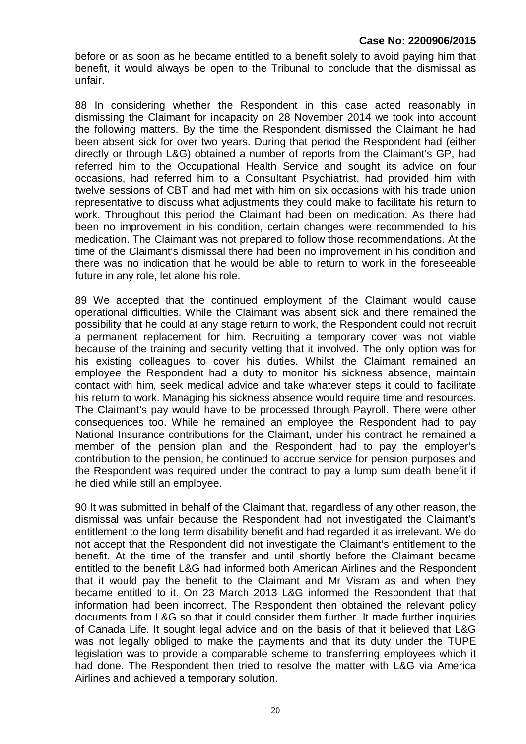before or as soon as he became entitled to a benefit solely to avoid paying him that benefit, it would always be open to the Tribunal to conclude that the dismissal as unfair.

88 In considering whether the Respondent in this case acted reasonably in dismissing the Claimant for incapacity on 28 November 2014 we took into account the following matters. By the time the Respondent dismissed the Claimant he had been absent sick for over two years. During that period the Respondent had (either directly or through L&G) obtained a number of reports from the Claimant's GP, had referred him to the Occupational Health Service and sought its advice on four occasions, had referred him to a Consultant Psychiatrist, had provided him with twelve sessions of CBT and had met with him on six occasions with his trade union representative to discuss what adjustments they could make to facilitate his return to work. Throughout this period the Claimant had been on medication. As there had been no improvement in his condition, certain changes were recommended to his medication. The Claimant was not prepared to follow those recommendations. At the time of the Claimant's dismissal there had been no improvement in his condition and there was no indication that he would be able to return to work in the foreseeable future in any role, let alone his role.

89 We accepted that the continued employment of the Claimant would cause operational difficulties. While the Claimant was absent sick and there remained the possibility that he could at any stage return to work, the Respondent could not recruit a permanent replacement for him. Recruiting a temporary cover was not viable because of the training and security vetting that it involved. The only option was for his existing colleagues to cover his duties. Whilst the Claimant remained an employee the Respondent had a duty to monitor his sickness absence, maintain contact with him, seek medical advice and take whatever steps it could to facilitate his return to work. Managing his sickness absence would require time and resources. The Claimant's pay would have to be processed through Payroll. There were other consequences too. While he remained an employee the Respondent had to pay National Insurance contributions for the Claimant, under his contract he remained a member of the pension plan and the Respondent had to pay the employer's contribution to the pension, he continued to accrue service for pension purposes and the Respondent was required under the contract to pay a lump sum death benefit if he died while still an employee.

90 It was submitted in behalf of the Claimant that, regardless of any other reason, the dismissal was unfair because the Respondent had not investigated the Claimant's entitlement to the long term disability benefit and had regarded it as irrelevant. We do not accept that the Respondent did not investigate the Claimant's entitlement to the benefit. At the time of the transfer and until shortly before the Claimant became entitled to the benefit L&G had informed both American Airlines and the Respondent that it would pay the benefit to the Claimant and Mr Visram as and when they became entitled to it. On 23 March 2013 L&G informed the Respondent that that information had been incorrect. The Respondent then obtained the relevant policy documents from L&G so that it could consider them further. It made further inquiries of Canada Life. It sought legal advice and on the basis of that it believed that L&G was not legally obliged to make the payments and that its duty under the TUPE legislation was to provide a comparable scheme to transferring employees which it had done. The Respondent then tried to resolve the matter with L&G via America Airlines and achieved a temporary solution.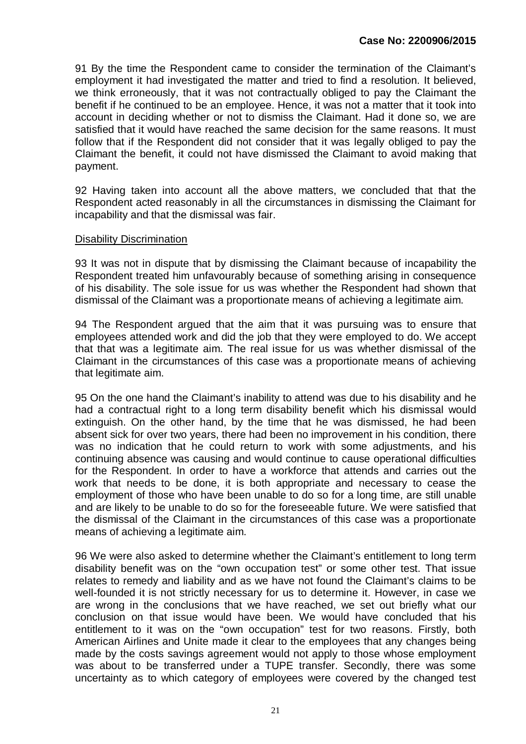91 By the time the Respondent came to consider the termination of the Claimant's employment it had investigated the matter and tried to find a resolution. It believed, we think erroneously, that it was not contractually obliged to pay the Claimant the benefit if he continued to be an employee. Hence, it was not a matter that it took into account in deciding whether or not to dismiss the Claimant. Had it done so, we are satisfied that it would have reached the same decision for the same reasons. It must follow that if the Respondent did not consider that it was legally obliged to pay the Claimant the benefit, it could not have dismissed the Claimant to avoid making that payment.

92 Having taken into account all the above matters, we concluded that that the Respondent acted reasonably in all the circumstances in dismissing the Claimant for incapability and that the dismissal was fair.

#### Disability Discrimination

93 It was not in dispute that by dismissing the Claimant because of incapability the Respondent treated him unfavourably because of something arising in consequence of his disability. The sole issue for us was whether the Respondent had shown that dismissal of the Claimant was a proportionate means of achieving a legitimate aim.

94 The Respondent argued that the aim that it was pursuing was to ensure that employees attended work and did the job that they were employed to do. We accept that that was a legitimate aim. The real issue for us was whether dismissal of the Claimant in the circumstances of this case was a proportionate means of achieving that legitimate aim.

95 On the one hand the Claimant's inability to attend was due to his disability and he had a contractual right to a long term disability benefit which his dismissal would extinguish. On the other hand, by the time that he was dismissed, he had been absent sick for over two years, there had been no improvement in his condition, there was no indication that he could return to work with some adjustments, and his continuing absence was causing and would continue to cause operational difficulties for the Respondent. In order to have a workforce that attends and carries out the work that needs to be done, it is both appropriate and necessary to cease the employment of those who have been unable to do so for a long time, are still unable and are likely to be unable to do so for the foreseeable future. We were satisfied that the dismissal of the Claimant in the circumstances of this case was a proportionate means of achieving a legitimate aim.

96 We were also asked to determine whether the Claimant's entitlement to long term disability benefit was on the "own occupation test" or some other test. That issue relates to remedy and liability and as we have not found the Claimant's claims to be well-founded it is not strictly necessary for us to determine it. However, in case we are wrong in the conclusions that we have reached, we set out briefly what our conclusion on that issue would have been. We would have concluded that his entitlement to it was on the "own occupation" test for two reasons. Firstly, both American Airlines and Unite made it clear to the employees that any changes being made by the costs savings agreement would not apply to those whose employment was about to be transferred under a TUPE transfer. Secondly, there was some uncertainty as to which category of employees were covered by the changed test